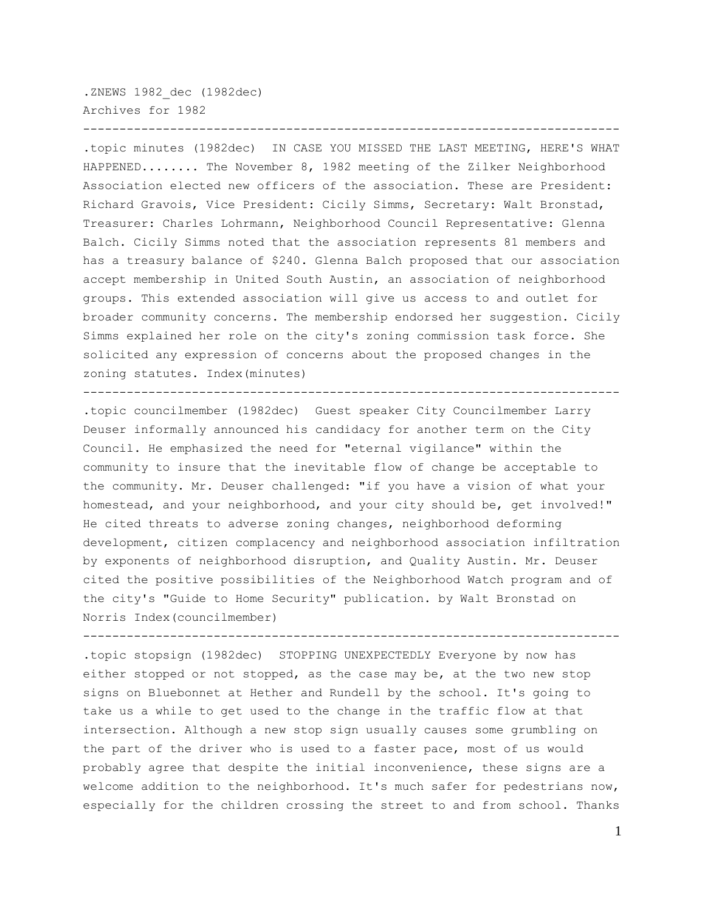.ZNEWS 1982\_dec (1982dec) Archives for 1982

.topic minutes (1982dec) IN CASE YOU MISSED THE LAST MEETING, HERE'S WHAT HAPPENED........ The November 8, 1982 meeting of the Zilker Neighborhood Association elected new officers of the association. These are President: Richard Gravois, Vice President: Cicily Simms, Secretary: Walt Bronstad, Treasurer: Charles Lohrmann, Neighborhood Council Representative: Glenna Balch. Cicily Simms noted that the association represents 81 members and has a treasury balance of \$240. Glenna Balch proposed that our association accept membership in United South Austin, an association of neighborhood groups. This extended association will give us access to and outlet for broader community concerns. The membership endorsed her suggestion. Cicily Simms explained her role on the city's zoning commission task force. She solicited any expression of concerns about the proposed changes in the zoning statutes. Index(minutes)

--------------------------------------------------------------------------

 $-$ 

.topic councilmember (1982dec) Guest speaker City Councilmember Larry Deuser informally announced his candidacy for another term on the City Council. He emphasized the need for "eternal vigilance" within the community to insure that the inevitable flow of change be acceptable to the community. Mr. Deuser challenged: "if you have a vision of what your homestead, and your neighborhood, and your city should be, get involved!" He cited threats to adverse zoning changes, neighborhood deforming development, citizen complacency and neighborhood association infiltration by exponents of neighborhood disruption, and Quality Austin. Mr. Deuser cited the positive possibilities of the Neighborhood Watch program and of the city's "Guide to Home Security" publication. by Walt Bronstad on Norris Index(councilmember)

--------------------------------------------------------------------------

.topic stopsign (1982dec) STOPPING UNEXPECTEDLY Everyone by now has either stopped or not stopped, as the case may be, at the two new stop signs on Bluebonnet at Hether and Rundell by the school. It's going to take us a while to get used to the change in the traffic flow at that intersection. Although a new stop sign usually causes some grumbling on the part of the driver who is used to a faster pace, most of us would probably agree that despite the initial inconvenience, these signs are a welcome addition to the neighborhood. It's much safer for pedestrians now, especially for the children crossing the street to and from school. Thanks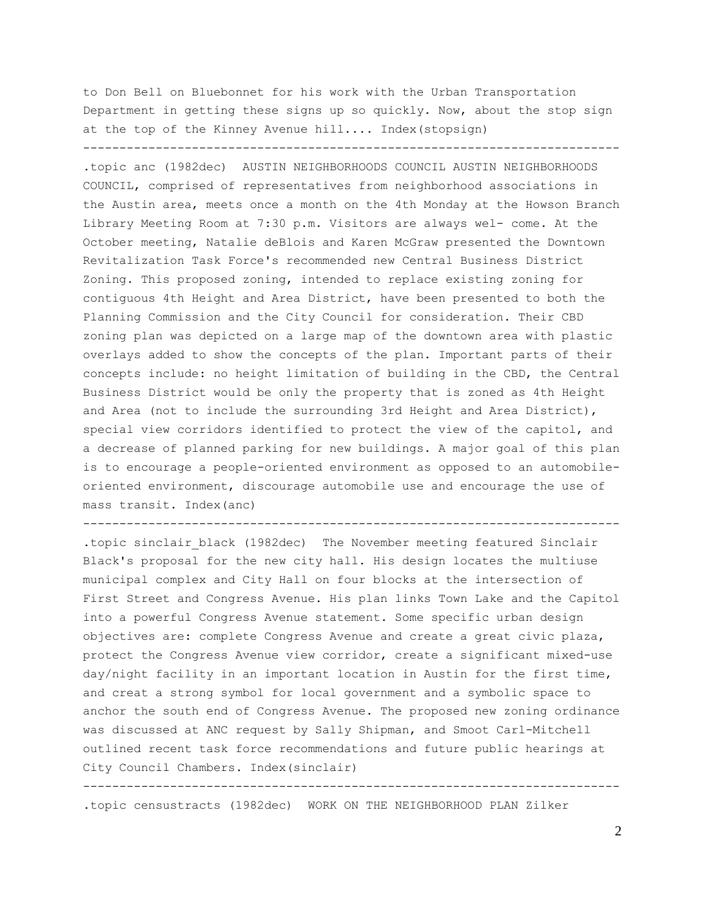to Don Bell on Bluebonnet for his work with the Urban Transportation Department in getting these signs up so quickly. Now, about the stop sign at the top of the Kinney Avenue hill.... Index(stopsign)

--------------------------------------------------------------------------

.topic anc (1982dec) AUSTIN NEIGHBORHOODS COUNCIL AUSTIN NEIGHBORHOODS COUNCIL, comprised of representatives from neighborhood associations in the Austin area, meets once a month on the 4th Monday at the Howson Branch Library Meeting Room at 7:30 p.m. Visitors are always wel- come. At the October meeting, Natalie deBlois and Karen McGraw presented the Downtown Revitalization Task Force's recommended new Central Business District Zoning. This proposed zoning, intended to replace existing zoning for contiguous 4th Height and Area District, have been presented to both the Planning Commission and the City Council for consideration. Their CBD zoning plan was depicted on a large map of the downtown area with plastic overlays added to show the concepts of the plan. Important parts of their concepts include: no height limitation of building in the CBD, the Central Business District would be only the property that is zoned as 4th Height and Area (not to include the surrounding 3rd Height and Area District), special view corridors identified to protect the view of the capitol, and a decrease of planned parking for new buildings. A major goal of this plan is to encourage a people-oriented environment as opposed to an automobileoriented environment, discourage automobile use and encourage the use of mass transit. Index(anc)

--------------------------------------------------------------------------

.topic sinclair\_black (1982dec) The November meeting featured Sinclair Black's proposal for the new city hall. His design locates the multiuse municipal complex and City Hall on four blocks at the intersection of First Street and Congress Avenue. His plan links Town Lake and the Capitol into a powerful Congress Avenue statement. Some specific urban design objectives are: complete Congress Avenue and create a great civic plaza, protect the Congress Avenue view corridor, create a significant mixed-use day/night facility in an important location in Austin for the first time, and creat a strong symbol for local government and a symbolic space to anchor the south end of Congress Avenue. The proposed new zoning ordinance was discussed at ANC request by Sally Shipman, and Smoot Carl-Mitchell outlined recent task force recommendations and future public hearings at City Council Chambers. Index(sinclair)

--------------------------------------------------------------------------

.topic censustracts (1982dec) WORK ON THE NEIGHBORHOOD PLAN Zilker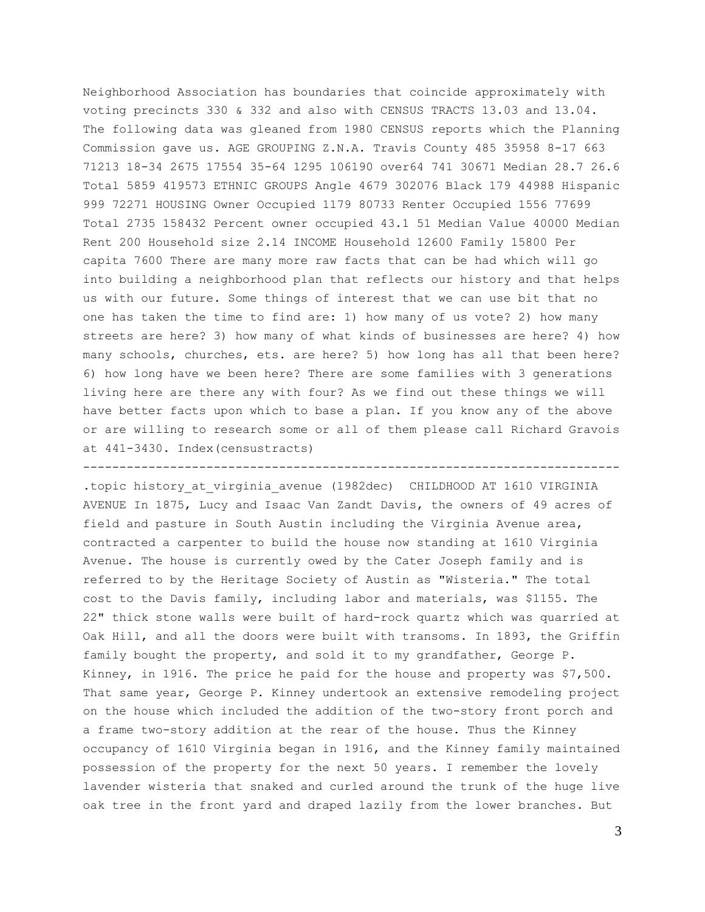Neighborhood Association has boundaries that coincide approximately with voting precincts 330 & 332 and also with CENSUS TRACTS 13.03 and 13.04. The following data was gleaned from 1980 CENSUS reports which the Planning Commission gave us. AGE GROUPING Z.N.A. Travis County 485 35958 8-17 663 71213 18-34 2675 17554 35-64 1295 106190 over64 741 30671 Median 28.7 26.6 Total 5859 419573 ETHNIC GROUPS Angle 4679 302076 Black 179 44988 Hispanic 999 72271 HOUSING Owner Occupied 1179 80733 Renter Occupied 1556 77699 Total 2735 158432 Percent owner occupied 43.1 51 Median Value 40000 Median Rent 200 Household size 2.14 INCOME Household 12600 Family 15800 Per capita 7600 There are many more raw facts that can be had which will go into building a neighborhood plan that reflects our history and that helps us with our future. Some things of interest that we can use bit that no one has taken the time to find are: 1) how many of us vote? 2) how many streets are here? 3) how many of what kinds of businesses are here? 4) how many schools, churches, ets. are here? 5) how long has all that been here? 6) how long have we been here? There are some families with 3 generations living here are there any with four? As we find out these things we will have better facts upon which to base a plan. If you know any of the above or are willing to research some or all of them please call Richard Gravois at 441-3430. Index(censustracts)

.topic history\_at\_virginia\_avenue (1982dec) CHILDHOOD AT 1610 VIRGINIA AVENUE In 1875, Lucy and Isaac Van Zandt Davis, the owners of 49 acres of field and pasture in South Austin including the Virginia Avenue area, contracted a carpenter to build the house now standing at 1610 Virginia Avenue. The house is currently owed by the Cater Joseph family and is referred to by the Heritage Society of Austin as "Wisteria." The total cost to the Davis family, including labor and materials, was \$1155. The 22" thick stone walls were built of hard-rock quartz which was quarried at Oak Hill, and all the doors were built with transoms. In 1893, the Griffin family bought the property, and sold it to my grandfather, George P. Kinney, in 1916. The price he paid for the house and property was \$7,500. That same year, George P. Kinney undertook an extensive remodeling project on the house which included the addition of the two-story front porch and a frame two-story addition at the rear of the house. Thus the Kinney occupancy of 1610 Virginia began in 1916, and the Kinney family maintained possession of the property for the next 50 years. I remember the lovely lavender wisteria that snaked and curled around the trunk of the huge live oak tree in the front yard and draped lazily from the lower branches. But

--------------------------------------------------------------------------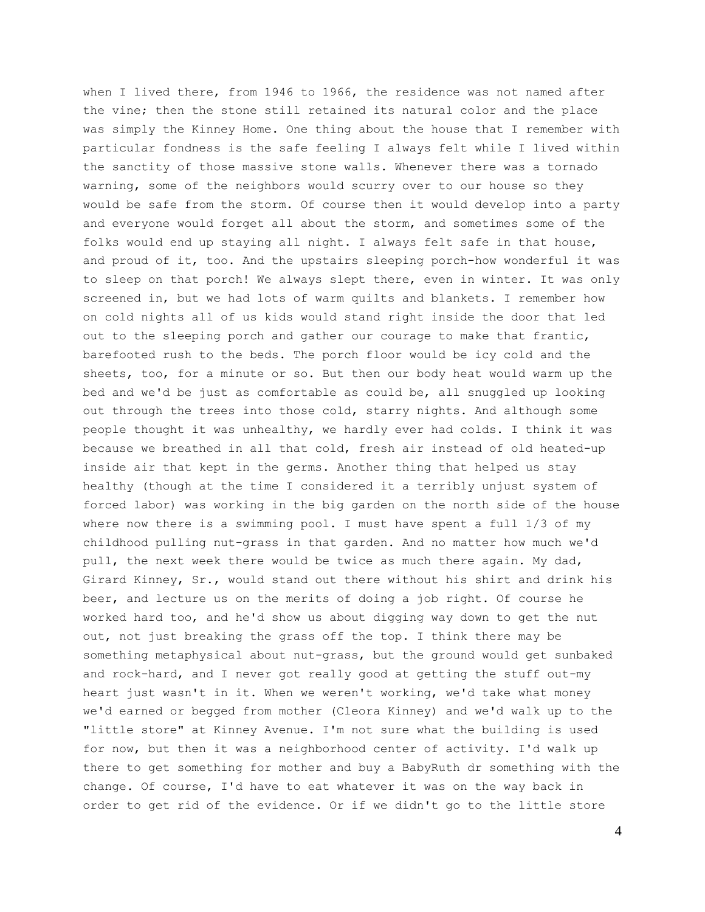when I lived there, from 1946 to 1966, the residence was not named after the vine; then the stone still retained its natural color and the place was simply the Kinney Home. One thing about the house that I remember with particular fondness is the safe feeling I always felt while I lived within the sanctity of those massive stone walls. Whenever there was a tornado warning, some of the neighbors would scurry over to our house so they would be safe from the storm. Of course then it would develop into a party and everyone would forget all about the storm, and sometimes some of the folks would end up staying all night. I always felt safe in that house, and proud of it, too. And the upstairs sleeping porch-how wonderful it was to sleep on that porch! We always slept there, even in winter. It was only screened in, but we had lots of warm quilts and blankets. I remember how on cold nights all of us kids would stand right inside the door that led out to the sleeping porch and gather our courage to make that frantic, barefooted rush to the beds. The porch floor would be icy cold and the sheets, too, for a minute or so. But then our body heat would warm up the bed and we'd be just as comfortable as could be, all snuggled up looking out through the trees into those cold, starry nights. And although some people thought it was unhealthy, we hardly ever had colds. I think it was because we breathed in all that cold, fresh air instead of old heated-up inside air that kept in the germs. Another thing that helped us stay healthy (though at the time I considered it a terribly unjust system of forced labor) was working in the big garden on the north side of the house where now there is a swimming pool. I must have spent a full 1/3 of my childhood pulling nut-grass in that garden. And no matter how much we'd pull, the next week there would be twice as much there again. My dad, Girard Kinney, Sr., would stand out there without his shirt and drink his beer, and lecture us on the merits of doing a job right. Of course he worked hard too, and he'd show us about digging way down to get the nut out, not just breaking the grass off the top. I think there may be something metaphysical about nut-grass, but the ground would get sunbaked and rock-hard, and I never got really good at getting the stuff out-my heart just wasn't in it. When we weren't working, we'd take what money we'd earned or begged from mother (Cleora Kinney) and we'd walk up to the "little store" at Kinney Avenue. I'm not sure what the building is used for now, but then it was a neighborhood center of activity. I'd walk up there to get something for mother and buy a BabyRuth dr something with the change. Of course, I'd have to eat whatever it was on the way back in order to get rid of the evidence. Or if we didn't go to the little store

4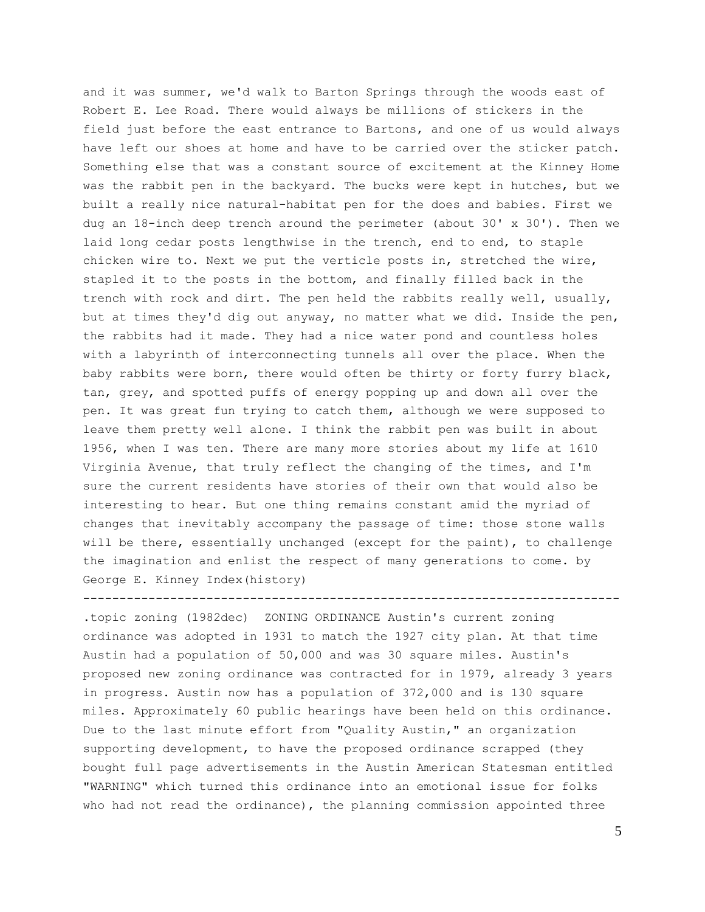and it was summer, we'd walk to Barton Springs through the woods east of Robert E. Lee Road. There would always be millions of stickers in the field just before the east entrance to Bartons, and one of us would always have left our shoes at home and have to be carried over the sticker patch. Something else that was a constant source of excitement at the Kinney Home was the rabbit pen in the backyard. The bucks were kept in hutches, but we built a really nice natural-habitat pen for the does and babies. First we dug an  $18$ -inch deep trench around the perimeter (about 30' x 30'). Then we laid long cedar posts lengthwise in the trench, end to end, to staple chicken wire to. Next we put the verticle posts in, stretched the wire, stapled it to the posts in the bottom, and finally filled back in the trench with rock and dirt. The pen held the rabbits really well, usually, but at times they'd dig out anyway, no matter what we did. Inside the pen, the rabbits had it made. They had a nice water pond and countless holes with a labyrinth of interconnecting tunnels all over the place. When the baby rabbits were born, there would often be thirty or forty furry black, tan, grey, and spotted puffs of energy popping up and down all over the pen. It was great fun trying to catch them, although we were supposed to leave them pretty well alone. I think the rabbit pen was built in about 1956, when I was ten. There are many more stories about my life at 1610 Virginia Avenue, that truly reflect the changing of the times, and I'm sure the current residents have stories of their own that would also be interesting to hear. But one thing remains constant amid the myriad of changes that inevitably accompany the passage of time: those stone walls will be there, essentially unchanged (except for the paint), to challenge the imagination and enlist the respect of many generations to come. by George E. Kinney Index(history)

.topic zoning (1982dec) ZONING ORDINANCE Austin's current zoning ordinance was adopted in 1931 to match the 1927 city plan. At that time Austin had a population of 50,000 and was 30 square miles. Austin's proposed new zoning ordinance was contracted for in 1979, already 3 years in progress. Austin now has a population of 372,000 and is 130 square miles. Approximately 60 public hearings have been held on this ordinance. Due to the last minute effort from "Quality Austin," an organization supporting development, to have the proposed ordinance scrapped (they bought full page advertisements in the Austin American Statesman entitled "WARNING" which turned this ordinance into an emotional issue for folks who had not read the ordinance), the planning commission appointed three

--------------------------------------------------------------------------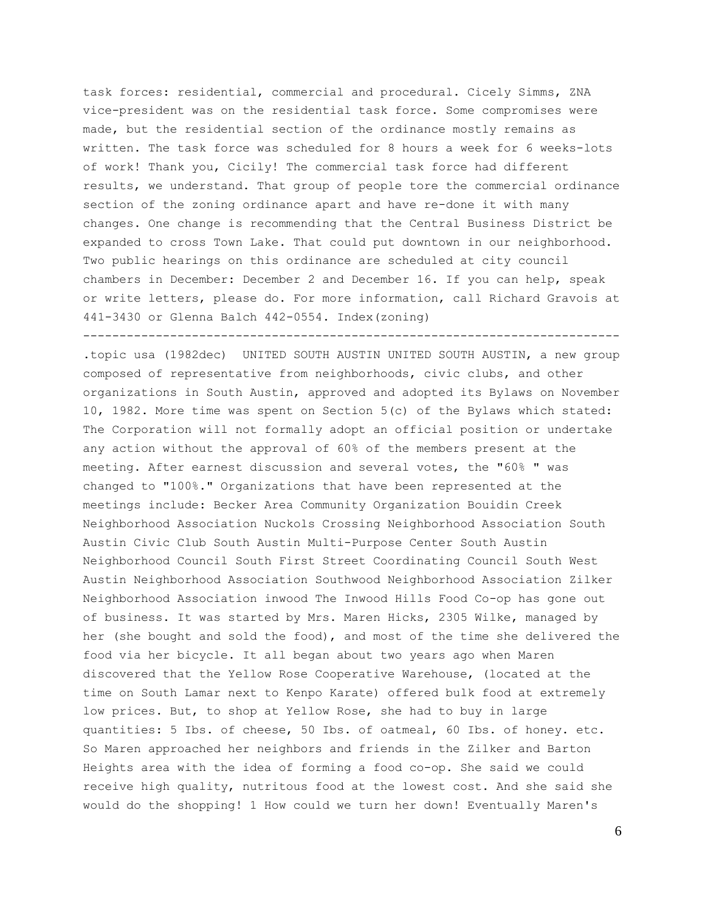task forces: residential, commercial and procedural. Cicely Simms, ZNA vice-president was on the residential task force. Some compromises were made, but the residential section of the ordinance mostly remains as written. The task force was scheduled for 8 hours a week for 6 weeks-lots of work! Thank you, Cicily! The commercial task force had different results, we understand. That group of people tore the commercial ordinance section of the zoning ordinance apart and have re-done it with many changes. One change is recommending that the Central Business District be expanded to cross Town Lake. That could put downtown in our neighborhood. Two public hearings on this ordinance are scheduled at city council chambers in December: December 2 and December 16. If you can help, speak or write letters, please do. For more information, call Richard Gravois at 441-3430 or Glenna Balch 442-0554. Index(zoning) --------------------------------------------------------------------------

.topic usa (1982dec) UNITED SOUTH AUSTIN UNITED SOUTH AUSTIN, a new group composed of representative from neighborhoods, civic clubs, and other organizations in South Austin, approved and adopted its Bylaws on November 10, 1982. More time was spent on Section 5(c) of the Bylaws which stated: The Corporation will not formally adopt an official position or undertake any action without the approval of 60% of the members present at the meeting. After earnest discussion and several votes, the "60% " was changed to "100%." Organizations that have been represented at the meetings include: Becker Area Community Organization Bouidin Creek Neighborhood Association Nuckols Crossing Neighborhood Association South Austin Civic Club South Austin Multi-Purpose Center South Austin Neighborhood Council South First Street Coordinating Council South West Austin Neighborhood Association Southwood Neighborhood Association Zilker Neighborhood Association inwood The Inwood Hills Food Co-op has gone out of business. It was started by Mrs. Maren Hicks, 2305 Wilke, managed by her (she bought and sold the food), and most of the time she delivered the food via her bicycle. It all began about two years ago when Maren discovered that the Yellow Rose Cooperative Warehouse, (located at the time on South Lamar next to Kenpo Karate) offered bulk food at extremely low prices. But, to shop at Yellow Rose, she had to buy in large quantities: 5 Ibs. of cheese, 50 Ibs. of oatmeal, 60 Ibs. of honey. etc. So Maren approached her neighbors and friends in the Zilker and Barton Heights area with the idea of forming a food co-op. She said we could receive high quality, nutritous food at the lowest cost. And she said she would do the shopping! 1 How could we turn her down! Eventually Maren's